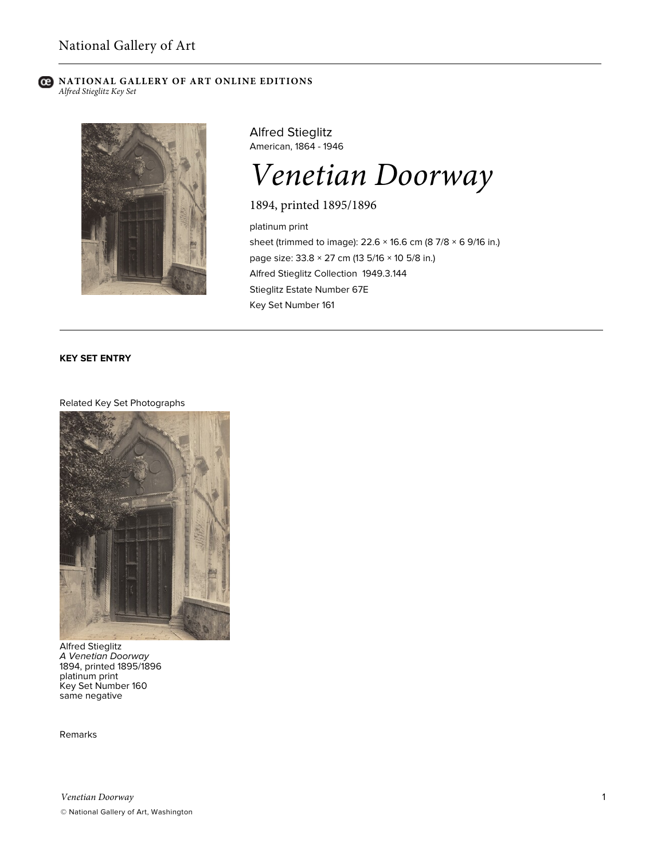### **C** NATIONAL GALLERY OF ART ONLINE EDITIONS *Alfred Stieglitz Key Set*



Alfred Stieglitz American, 1864 - 1946

# *Venetian Doorway*

1894, printed 1895/1896

platinum print sheet (trimmed to image):  $22.6 \times 16.6$  cm (8 7/8  $\times$  6 9/16 in.) page size: 33.8 × 27 cm (13 5/16 × 10 5/8 in.) Alfred Stieglitz Collection 1949.3.144 Stieglitz Estate Number 67E Key Set Number 161

# **KEY SET ENTRY**

### Related Key Set Photographs



Alfred Stieglitz *A Venetian Doorway* 1894, printed 1895/1896 platinum print Key Set Number 160 same negative

Remarks